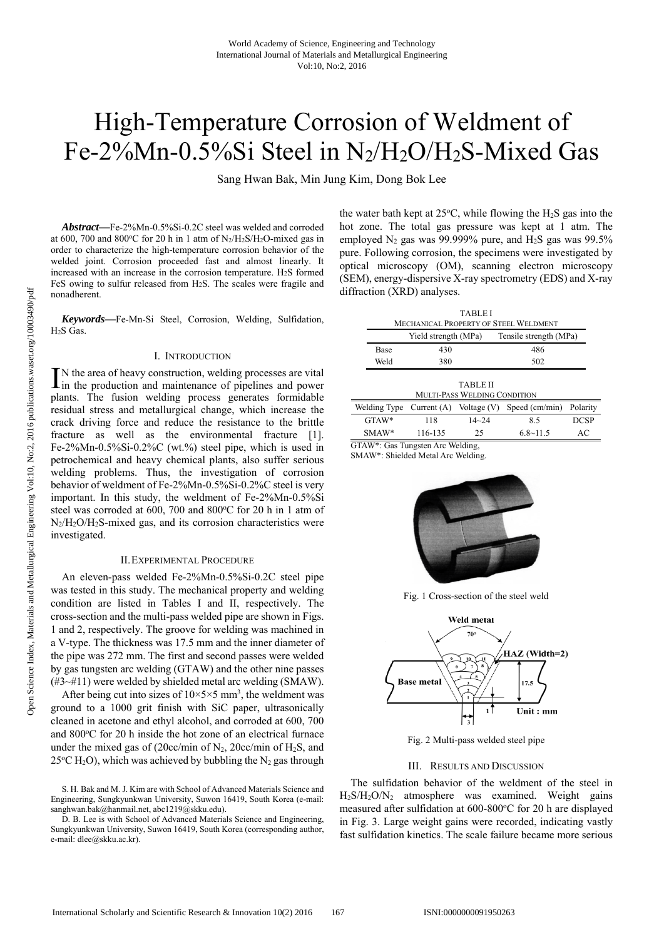# High-Temperature Corrosion of Weldment of Fe-2%Mn-0.5%Si Steel in N2/H2O/H2S-Mixed Gas

Sang Hwan Bak, Min Jung Kim, Dong Bok Lee

*Abstract***—**Fe-2%Mn-0.5%Si-0.2C steel was welded and corroded at 600, 700 and 800°C for 20 h in 1 atm of  $N_2/H_2S/H_2O$ -mixed gas in order to characterize the high-temperature corrosion behavior of the welded joint. Corrosion proceeded fast and almost linearly. It increased with an increase in the corrosion temperature. H2S formed FeS owing to sulfur released from H2S. The scales were fragile and nonadherent.

*Keywords***—**Fe-Mn-Si Steel, Corrosion, Welding, Sulfidation, H2S Gas.

#### I. INTRODUCTION

N the area of heavy construction, welding processes are vital IN the area of heavy construction, welding processes are vital<br>in the production and maintenance of pipelines and power plants. The fusion welding process generates formidable residual stress and metallurgical change, which increase the crack driving force and reduce the resistance to the brittle fracture as well as the environmental fracture [1]. Fe-2%Mn-0.5%Si-0.2%C (wt.%) steel pipe, which is used in petrochemical and heavy chemical plants, also suffer serious welding problems. Thus, the investigation of corrosion behavior of weldment of Fe-2%Mn-0.5%Si-0.2%C steel is very important. In this study, the weldment of Fe-2%Mn-0.5%Si steel was corroded at 600, 700 and 800°C for 20 h in 1 atm of  $N_2/H_2O/H_2S$ -mixed gas, and its corrosion characteristics were investigated.

#### II.EXPERIMENTAL PROCEDURE

An eleven-pass welded Fe-2%Mn-0.5%Si-0.2C steel pipe was tested in this study. The mechanical property and welding condition are listed in Tables I and II, respectively. The cross-section and the multi-pass welded pipe are shown in Figs. 1 and 2, respectively. The groove for welding was machined in a V-type. The thickness was 17.5 mm and the inner diameter of the pipe was 272 mm. The first and second passes were welded by gas tungsten arc welding (GTAW) and the other nine passes (#3~#11) were welded by shielded metal arc welding (SMAW).

After being cut into sizes of  $10 \times 5 \times 5$  mm<sup>3</sup>, the weldment was ground to a 1000 grit finish with SiC paper, ultrasonically cleaned in acetone and ethyl alcohol, and corroded at 600, 700 and 800°C for 20 h inside the hot zone of an electrical furnace under the mixed gas of (20cc/min of  $N_2$ , 20cc/min of  $H_2S$ , and  $25^{\circ}$ C H<sub>2</sub>O), which was achieved by bubbling the N<sub>2</sub> gas through

the water bath kept at  $25^{\circ}$ C, while flowing the H<sub>2</sub>S gas into the hot zone. The total gas pressure was kept at 1 atm. The employed  $N_2$  gas was 99.999% pure, and  $H_2S$  gas was 99.5% pure. Following corrosion, the specimens were investigated by optical microscopy (OM), scanning electron microscopy (SEM), energy-dispersive X-ray spectrometry (EDS) and X-ray diffraction (XRD) analyses.

| <b>TABLEI</b>                                |                      |                        |  |  |  |
|----------------------------------------------|----------------------|------------------------|--|--|--|
| <b>MECHANICAL PROPERTY OF STEEL WELDMENT</b> |                      |                        |  |  |  |
|                                              | Yield strength (MPa) | Tensile strength (MPa) |  |  |  |
| <b>Base</b>                                  | 430                  | 486                    |  |  |  |
| Weld                                         | 380                  | 502                    |  |  |  |

| <b>TABLE II</b>                     |         |           |                                                                       |             |  |  |
|-------------------------------------|---------|-----------|-----------------------------------------------------------------------|-------------|--|--|
| <b>MULTI-PASS WELDING CONDITION</b> |         |           |                                                                       |             |  |  |
|                                     |         |           | Welding Type Current (A) Voltage (V) Speed $\text{(cm/min)}$ Polarity |             |  |  |
| $GTAW^*$                            | 118     | $14 - 24$ | 8.5                                                                   | <b>DCSP</b> |  |  |
| $SMAW*$                             | 116-135 | 25        | $6.8 \sim 11.5$                                                       | AС          |  |  |

GTAW\*: Gas Tungsten Arc Welding,

SMAW\*: Shielded Metal Arc Welding.



Fig. 1 Cross-section of the steel weld



Fig. 2 Multi-pass welded steel pipe

## III. RESULTS AND DISCUSSION

The sulfidation behavior of the weldment of the steel in H2S/H2O/N2 atmosphere was examined. Weight gains measured after sulfidation at 600-800°C for 20 h are displayed in Fig. 3. Large weight gains were recorded, indicating vastly fast sulfidation kinetics. The scale failure became more serious

S. H. Bak and M. J. Kim are with School of Advanced Materials Science and Engineering, Sungkyunkwan University, Suwon 16419, South Korea (e-mail: sanghwan.bak@hanmail.net, abc1219@skku.edu).

D. B. Lee is with School of Advanced Materials Science and Engineering, Sungkyunkwan University, Suwon 16419, South Korea (corresponding author, e-mail: dlee@skku.ac.kr).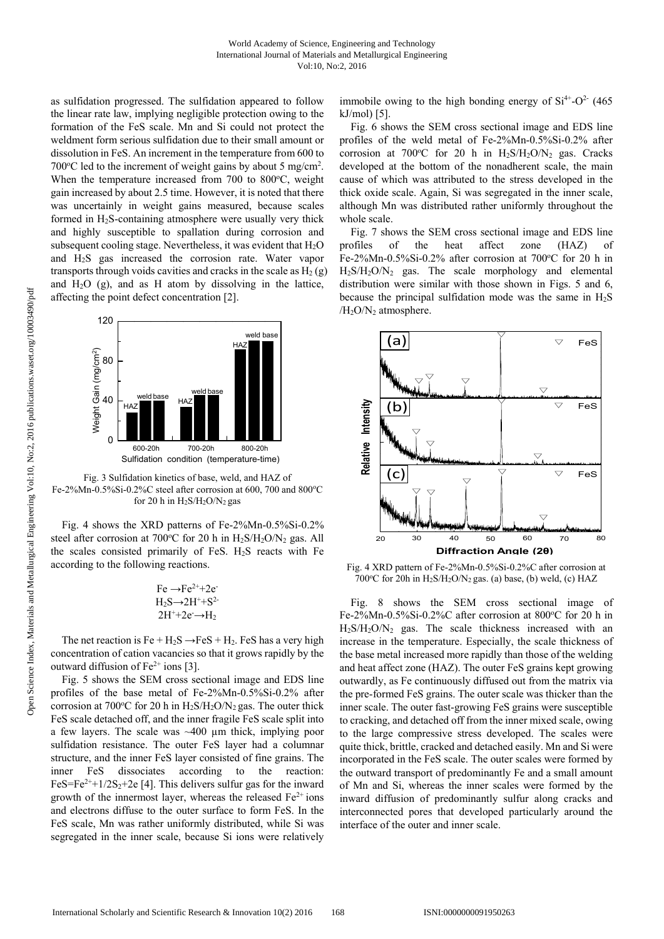as sulfidation progressed. The sulfidation appeared to follow the linear rate law, implying negligible protection owing to the formation of the FeS scale. Mn and Si could not protect the weldment form serious sulfidation due to their small amount or dissolution in FeS. An increment in the temperature from 600 to 700 $\degree$ C led to the increment of weight gains by about 5 mg/cm<sup>2</sup>. When the temperature increased from 700 to 800°C, weight gain increased by about 2.5 time. However, it is noted that there was uncertainly in weight gains measured, because scales formed in  $H_2S$ -containing atmosphere were usually very thick and highly susceptible to spallation during corrosion and subsequent cooling stage. Nevertheless, it was evident that  $H_2O$ and H2S gas increased the corrosion rate. Water vapor transports through voids cavities and cracks in the scale as  $H_2(g)$ and  $H_2O$  (g), and as H atom by dissolving in the lattice, affecting the point defect concentration [2].



Fig. 3 Sulfidation kinetics of base, weld, and HAZ of Fe-2%Mn-0.5%Si-0.2%C steel after corrosion at 600, 700 and 800°C for 20 h in  $H_2S/H_2O/N_2$  gas

Fig. 4 shows the XRD patterns of Fe-2%Mn-0.5%Si-0.2% steel after corrosion at 700 $^{\circ}$ C for 20 h in H<sub>2</sub>S/H<sub>2</sub>O/N<sub>2</sub> gas. All the scales consisted primarily of FeS.  $H_2S$  reacts with Fe according to the following reactions.

$$
\text{Fe} \rightarrow \text{Fe}^{2+} + 2\text{e}^2
$$
  
H<sub>2</sub>S $\rightarrow$ 2H<sup>+</sup>+S<sup>2-</sup>  
2H<sup>+</sup>+2e<sup>-</sup>→H<sub>2</sub>

The net reaction is  $Fe + H_2S \rightarrow FeS + H_2$ . FeS has a very high concentration of cation vacancies so that it grows rapidly by the outward diffusion of  $Fe<sup>2+</sup>$  ions [3].

Fig. 5 shows the SEM cross sectional image and EDS line profiles of the base metal of Fe-2%Mn-0.5%Si-0.2% after corrosion at 700 $\degree$ C for 20 h in H<sub>2</sub>S/H<sub>2</sub>O/N<sub>2</sub> gas. The outer thick FeS scale detached off, and the inner fragile FeS scale split into a few layers. The scale was ~400 µm thick, implying poor sulfidation resistance. The outer FeS layer had a columnar structure, and the inner FeS layer consisted of fine grains. The inner FeS dissociates according to the reaction: FeS=Fe<sup>2++1/2S<sub>2</sub>+2e [4]. This delivers sulfur gas for the inward</sup> growth of the innermost layer, whereas the released  $Fe<sup>2+</sup>$  ions and electrons diffuse to the outer surface to form FeS. In the FeS scale, Mn was rather uniformly distributed, while Si was segregated in the inner scale, because Si ions were relatively

immobile owing to the high bonding energy of  $Si<sup>4+</sup>-O<sup>2-</sup>$  (465) kJ/mol) [5].

Fig. 6 shows the SEM cross sectional image and EDS line profiles of the weld metal of Fe-2%Mn-0.5%Si-0.2% after corrosion at 700°C for 20 h in  $H_2S/H_2O/N_2$  gas. Cracks developed at the bottom of the nonadherent scale, the main cause of which was attributed to the stress developed in the thick oxide scale. Again, Si was segregated in the inner scale, although Mn was distributed rather uniformly throughout the whole scale.

Fig. 7 shows the SEM cross sectional image and EDS line profiles of the heat affect zone (HAZ) of Fe-2%Mn-0.5%Si-0.2% after corrosion at 700°C for 20 h in H2S/H2O/N2 gas. The scale morphology and elemental distribution were similar with those shown in Figs. 5 and 6, because the principal sulfidation mode was the same in H2S /H<sub>2</sub>O/N<sub>2</sub> atmosphere.



Fig. 4 XRD pattern of Fe-2%Mn-0.5%Si-0.2%C after corrosion at 700°C for 20h in H<sub>2</sub>S/H<sub>2</sub>O/N<sub>2</sub> gas. (a) base, (b) weld, (c) HAZ

Fig. 8 shows the SEM cross sectional image of Fe-2%Mn-0.5%Si-0.2%C after corrosion at 800°C for 20 h in  $H_2S/H_2O/N_2$  gas. The scale thickness increased with an increase in the temperature. Especially, the scale thickness of the base metal increased more rapidly than those of the welding and heat affect zone (HAZ). The outer FeS grains kept growing outwardly, as Fe continuously diffused out from the matrix via the pre-formed FeS grains. The outer scale was thicker than the inner scale. The outer fast-growing FeS grains were susceptible to cracking, and detached off from the inner mixed scale, owing to the large compressive stress developed. The scales were quite thick, brittle, cracked and detached easily. Mn and Si were incorporated in the FeS scale. The outer scales were formed by the outward transport of predominantly Fe and a small amount of Mn and Si, whereas the inner scales were formed by the inward diffusion of predominantly sulfur along cracks and interconnected pores that developed particularly around the interface of the outer and inner scale.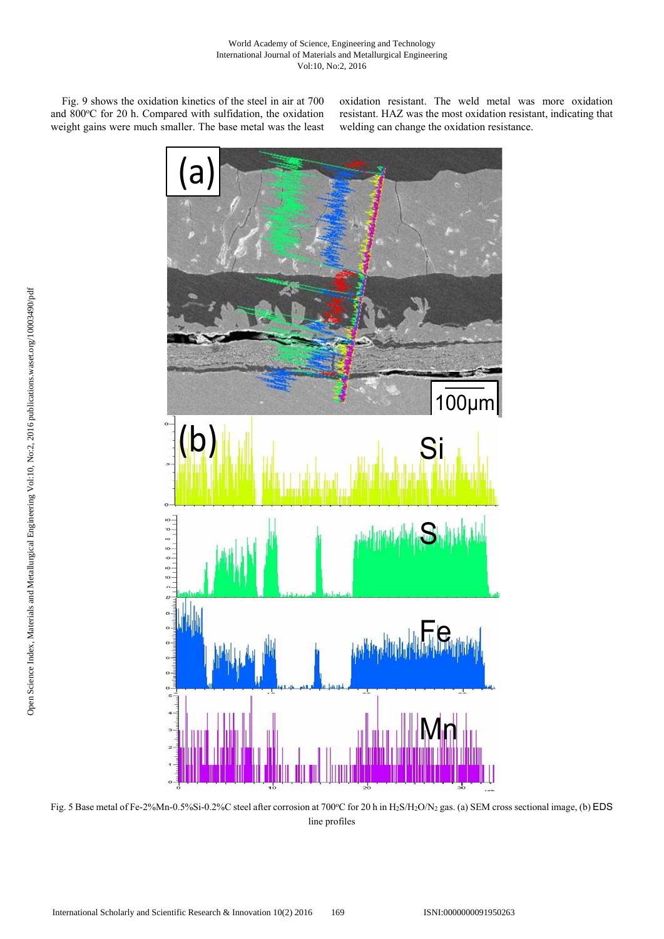Fig. 9 shows the oxidation kinetics of the steel in air at 700 and 800°C for 20 h. Compared with sulfidation, the oxidation weight gains were much smaller. The base metal was the least

oxidation resistant. The weld metal was more oxidation resistant. HAZ was the most oxidation resistant, indicating that welding can change the oxidation resistance.



Fig. 5 Base metal of Fe-2%Mn-0.5%Si-0.2%C steel after corrosion at 700°C for 20 h in H<sub>2</sub>S/H<sub>2</sub>O/N<sub>2</sub> gas. (a) SEM cross sectional image, (b) EDS line profiles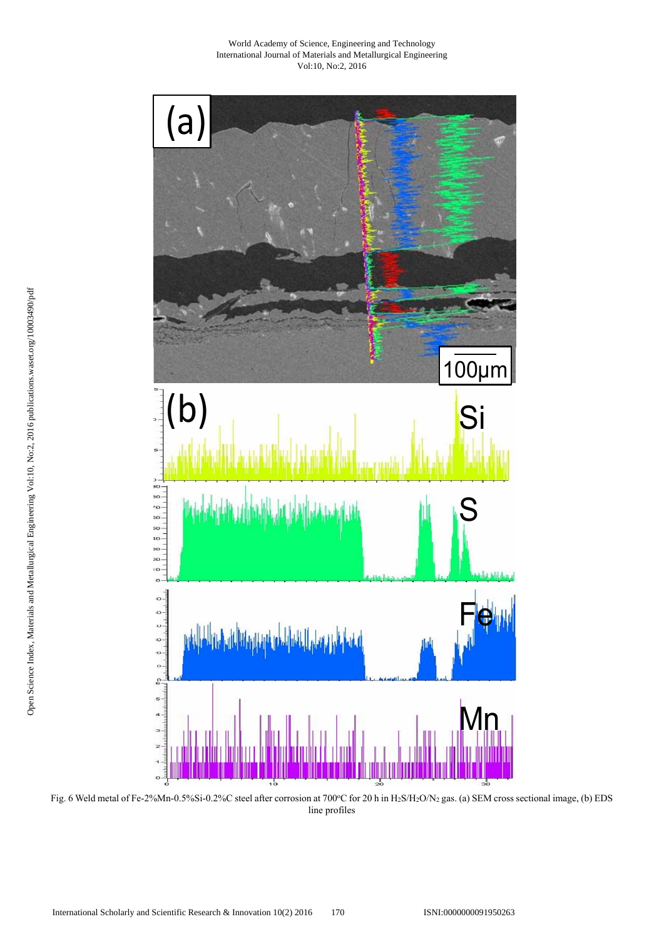

Fig. 6 Weld metal of Fe-2%Mn-0.5%Si-0.2%C steel after corrosion at 700°C for 20 h in H2S/H2O/N2 gas. (a) SEM cross sectional image, (b) EDS line profiles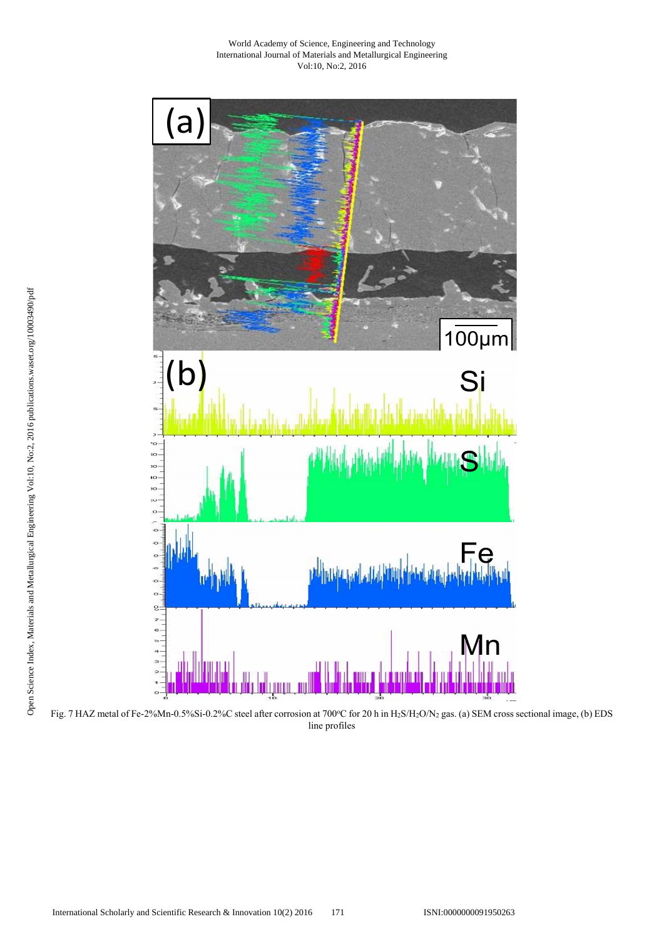

Fig. 7 HAZ metal of Fe-2%Mn-0.5%Si-0.2%C steel after corrosion at 700°C for 20 h in H2S/H2O/N2 gas. (a) SEM cross sectional image, (b) EDS line profiles